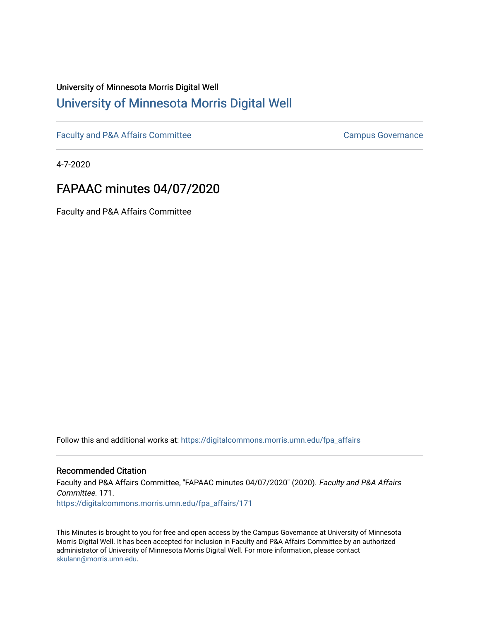# University of Minnesota Morris Digital Well [University of Minnesota Morris Digital Well](https://digitalcommons.morris.umn.edu/)

[Faculty and P&A Affairs Committee](https://digitalcommons.morris.umn.edu/fpa_affairs) [Campus Governance](https://digitalcommons.morris.umn.edu/campgov) Campus Governance

4-7-2020

# FAPAAC minutes 04/07/2020

Faculty and P&A Affairs Committee

Follow this and additional works at: [https://digitalcommons.morris.umn.edu/fpa\\_affairs](https://digitalcommons.morris.umn.edu/fpa_affairs?utm_source=digitalcommons.morris.umn.edu%2Ffpa_affairs%2F171&utm_medium=PDF&utm_campaign=PDFCoverPages)

## Recommended Citation

Faculty and P&A Affairs Committee, "FAPAAC minutes 04/07/2020" (2020). Faculty and P&A Affairs Committee. 171. [https://digitalcommons.morris.umn.edu/fpa\\_affairs/171](https://digitalcommons.morris.umn.edu/fpa_affairs/171?utm_source=digitalcommons.morris.umn.edu%2Ffpa_affairs%2F171&utm_medium=PDF&utm_campaign=PDFCoverPages)

This Minutes is brought to you for free and open access by the Campus Governance at University of Minnesota Morris Digital Well. It has been accepted for inclusion in Faculty and P&A Affairs Committee by an authorized administrator of University of Minnesota Morris Digital Well. For more information, please contact [skulann@morris.umn.edu.](mailto:skulann@morris.umn.edu)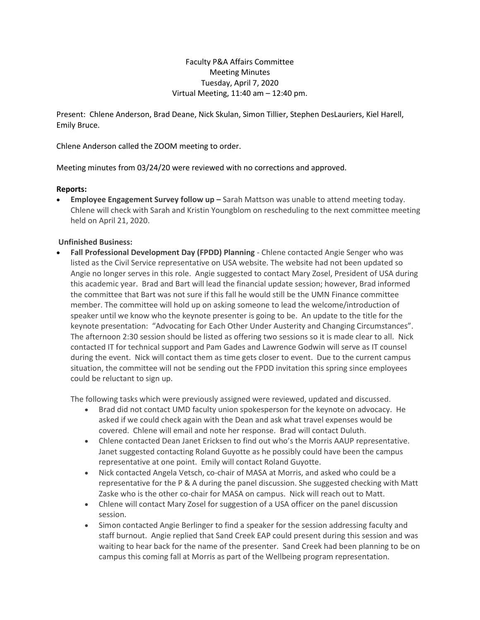## Faculty P&A Affairs Committee Meeting Minutes Tuesday, April 7, 2020 Virtual Meeting, 11:40 am – 12:40 pm.

Present: Chlene Anderson, Brad Deane, Nick Skulan, Simon Tillier, Stephen DesLauriers, Kiel Harell, Emily Bruce.

Chlene Anderson called the ZOOM meeting to order.

Meeting minutes from 03/24/20 were reviewed with no corrections and approved.

## **Reports:**

**Employee Engagement Survey follow up –** Sarah Mattson was unable to attend meeting today. Chlene will check with Sarah and Kristin Youngblom on rescheduling to the next committee meeting held on April 21, 2020.

## **Unfinished Business:**

 **Fall Professional Development Day (FPDD) Planning** - Chlene contacted Angie Senger who was listed as the Civil Service representative on USA website. The website had not been updated so Angie no longer serves in this role. Angie suggested to contact Mary Zosel, President of USA during this academic year. Brad and Bart will lead the financial update session; however, Brad informed the committee that Bart was not sure if this fall he would still be the UMN Finance committee member. The committee will hold up on asking someone to lead the welcome/introduction of speaker until we know who the keynote presenter is going to be. An update to the title for the keynote presentation: "Advocating for Each Other Under Austerity and Changing Circumstances". The afternoon 2:30 session should be listed as offering two sessions so it is made clear to all. Nick contacted IT for technical support and Pam Gades and Lawrence Godwin will serve as IT counsel during the event. Nick will contact them as time gets closer to event. Due to the current campus situation, the committee will not be sending out the FPDD invitation this spring since employees could be reluctant to sign up.

The following tasks which were previously assigned were reviewed, updated and discussed.

- Brad did not contact UMD faculty union spokesperson for the keynote on advocacy. He asked if we could check again with the Dean and ask what travel expenses would be covered. Chlene will email and note her response. Brad will contact Duluth.
- Chlene contacted Dean Janet Ericksen to find out who's the Morris AAUP representative. Janet suggested contacting Roland Guyotte as he possibly could have been the campus representative at one point. Emily will contact Roland Guyotte.
- Nick contacted Angela Vetsch, co-chair of MASA at Morris, and asked who could be a representative for the P & A during the panel discussion. She suggested checking with Matt Zaske who is the other co-chair for MASA on campus. Nick will reach out to Matt.
- Chlene will contact Mary Zosel for suggestion of a USA officer on the panel discussion session.
- Simon contacted Angie Berlinger to find a speaker for the session addressing faculty and staff burnout. Angie replied that Sand Creek EAP could present during this session and was waiting to hear back for the name of the presenter. Sand Creek had been planning to be on campus this coming fall at Morris as part of the Wellbeing program representation.